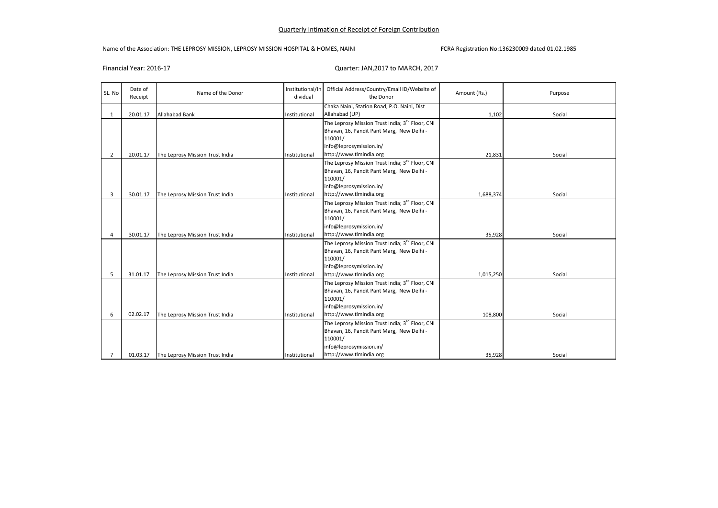## Name of the Association: THE LEPROSY MISSION, LEPROSY MISSION HOSPITAL & HOMES, NAINI FCRA Registration No:136230009 dated 01.02.1985

# Financial Year: 2016-17 Quarter: JAN,2017 to MARCH, 2017

| SL. No         | Date of<br>Receipt | Name of the Donor               | Institutional/In<br>dividual | Official Address/Country/Email ID/Website of<br>the Donor   | Amount (Rs.) | Purpose |
|----------------|--------------------|---------------------------------|------------------------------|-------------------------------------------------------------|--------------|---------|
|                |                    |                                 |                              | Chaka Naini, Station Road, P.O. Naini, Dist                 |              |         |
| 1              | 20.01.17           | <b>Allahabad Bank</b>           | Institutional                | Allahabad (UP)                                              | 1,102        | Social  |
|                |                    |                                 |                              | The Leprosy Mission Trust India; 3 <sup>rd</sup> Floor, CNI |              |         |
|                |                    |                                 |                              | Bhavan, 16, Pandit Pant Marg, New Delhi -                   |              |         |
|                |                    |                                 |                              | 110001/                                                     |              |         |
|                |                    |                                 |                              | info@leprosymission.in/                                     |              |         |
| $\overline{2}$ | 20.01.17           | The Leprosy Mission Trust India | Institutional                | http://www.tlmindia.org                                     | 21,831       | Social  |
|                |                    |                                 |                              | The Leprosy Mission Trust India; 3 <sup>rd</sup> Floor, CNI |              |         |
|                |                    |                                 |                              | Bhavan, 16, Pandit Pant Marg, New Delhi -                   |              |         |
|                |                    |                                 |                              | 110001/                                                     |              |         |
|                |                    |                                 |                              | info@leprosymission.in/                                     |              |         |
| 3              | 30.01.17           | The Leprosy Mission Trust India | Institutional                | http://www.tlmindia.org                                     | 1,688,374    | Social  |
|                |                    |                                 |                              | The Leprosy Mission Trust India; 3 <sup>rd</sup> Floor, CNI |              |         |
|                |                    |                                 |                              | Bhavan, 16, Pandit Pant Marg, New Delhi -                   |              |         |
|                |                    |                                 |                              | 110001/                                                     |              |         |
|                |                    |                                 |                              | info@leprosymission.in/                                     |              |         |
| 4              | 30.01.17           | The Leprosy Mission Trust India | Institutional                | http://www.tlmindia.org                                     | 35,928       | Social  |
|                |                    |                                 |                              | The Leprosy Mission Trust India; 3rd Floor, CNI             |              |         |
|                |                    |                                 |                              | Bhavan, 16, Pandit Pant Marg, New Delhi -                   |              |         |
|                |                    |                                 |                              | 110001/                                                     |              |         |
|                |                    |                                 |                              | info@leprosymission.in/                                     |              |         |
| 5              | 31.01.17           | The Leprosy Mission Trust India | Institutional                | http://www.tlmindia.org                                     | 1,015,250    | Social  |
|                |                    |                                 |                              | The Leprosy Mission Trust India; 3rd Floor, CNI             |              |         |
|                |                    |                                 |                              | Bhavan, 16, Pandit Pant Marg, New Delhi -                   |              |         |
|                |                    |                                 |                              | 110001/                                                     |              |         |
|                |                    |                                 |                              | info@leprosymission.in/                                     |              |         |
| 6              | 02.02.17           | The Leprosy Mission Trust India | Institutional                | http://www.tlmindia.org                                     | 108,800      | Social  |
|                |                    |                                 |                              | The Leprosy Mission Trust India; 3 <sup>rd</sup> Floor, CNI |              |         |
|                |                    |                                 |                              | Bhavan, 16, Pandit Pant Marg, New Delhi -                   |              |         |
|                |                    |                                 |                              | 110001/                                                     |              |         |
|                |                    |                                 |                              | info@leprosymission.in/                                     |              |         |
| $\overline{7}$ | 01.03.17           | The Leprosy Mission Trust India | Institutional                | http://www.tlmindia.org                                     | 35,928       | Social  |